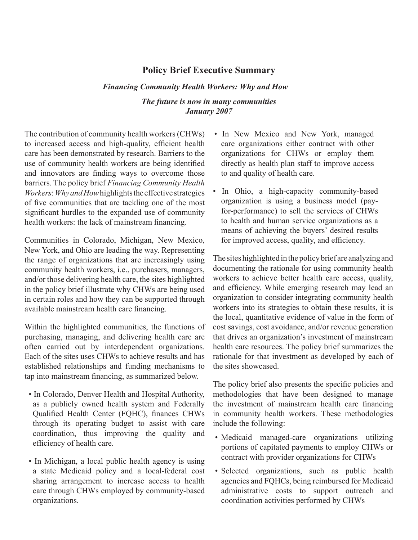## **Policy Brief Executive Summary**

## *The future is now in many communities January 2007 Financing Community Health Workers: Why and How*

The contribution of community health workers (CHWs) to increased access and high-quality, efficient health care has been demonstrated by research. Barriers to the use of community health workers are being identified and innovators are finding ways to overcome those barriers. The policy brief *Financing Community Health Workers*: *Why and How* highlights the effective strategies of five communities that are tackling one of the most significant hurdles to the expanded use of community health workers: the lack of mainstream financing.

Communities in Colorado, Michigan, New Mexico, New York, and Ohio are leading the way. Representing the range of organizations that are increasingly using community health workers, i.e., purchasers, managers, and/or those delivering health care, the sites highlighted in the policy brief illustrate why CHWs are being used in certain roles and how they can be supported through available mainstream health care financing.

Within the highlighted communities, the functions of purchasing, managing, and delivering health care are often carried out by interdependent organizations. Each of the sites uses CHWs to achieve results and has established relationships and funding mechanisms to tap into mainstream financing, as summarized below.

- In Colorado, Denver Health and Hospital Authority, as a publicly owned health system and Federally Qualified Health Center (FQHC), finances CHWs through its operating budget to assist with care coordination, thus improving the quality and efficiency of health care.
- In Michigan, a local public health agency is using a state Medicaid policy and a local-federal cost sharing arrangement to increase access to health care through CHWs employed by community-based organizations.
- In New Mexico and New York, managed care organizations either contract with other organizations for CHWs or employ them directly as health plan staff to improve access to and quality of health care.
- In Ohio, a high-capacity community-based organization is using a business model (payfor-performance) to sell the services of CHWs to health and human service organizations as a means of achieving the buyers' desired results for improved access, quality, and efficiency.

The sites highlighted in the policy brief are analyzing and documenting the rationale for using community health workers to achieve better health care access, quality, and efficiency. While emerging research may lead an organization to consider integrating community health workers into its strategies to obtain these results, it is the local, quantitative evidence of value in the form of cost savings, cost avoidance, and/or revenue generation that drives an organization's investment of mainstream health care resources. The policy brief summarizes the rationale for that investment as developed by each of the sites showcased.

The policy brief also presents the specific policies and methodologies that have been designed to manage the investment of mainstream health care financing in community health workers. These methodologies include the following:

- Medicaid managed-care organizations utilizing portions of capitated payments to employ CHWs or contract with provider organizations for CHWs
- Selected organizations, such as public health agencies and FQHCs, being reimbursed for Medicaid administrative costs to support outreach and coordination activities performed by CHWs